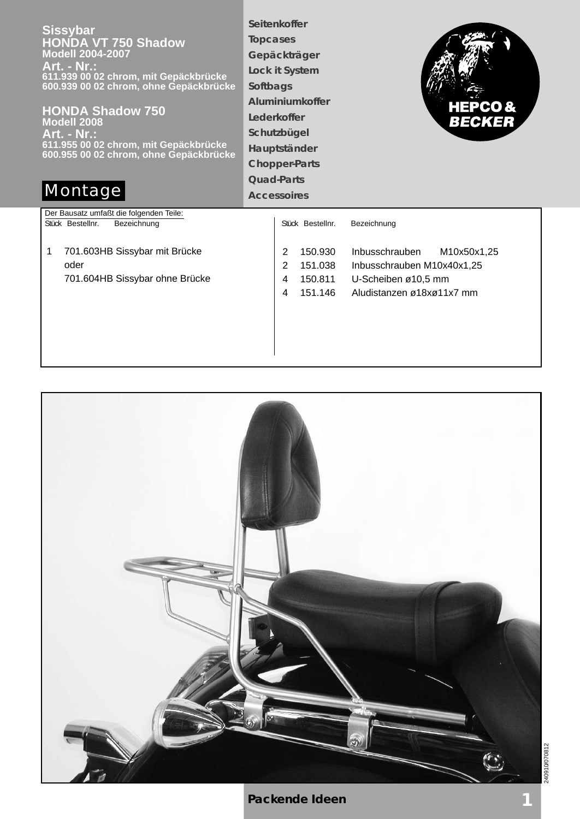**Sissybar HONDA VT 750 Shadow Modell 2004-2007 Art. - Nr.: 611.939 00 02 chrom, mit Gepäckbrücke 600.939 00 02 chrom, ohne Gepäckbrücke**

**HONDA Shadow 750 Modell 2008 Art. - Nr.: 611.955 00 02 chrom, mit Gepäckbrücke 600.955 00 02 chrom, ohne Gepäckbrücke**

**Seitenkoffer Topcases Gepäckträger Lock it System Softbags Aluminiumkoffer Lederkoffer Schutzbügel Hauptständer Chopper-Parts Quad-Parts**



## **Montage Accessoires**

Der Bausatz umfaßt die folgenden Teile: Stück Bestellnr. Bezeichnung 1 701.603HB Sissybar mit Brücke oder

701.604HB Sissybar ohne Brücke

| Stück Bestellnr.                                             | Bezeichnung                                                                                                  |
|--------------------------------------------------------------|--------------------------------------------------------------------------------------------------------------|
| 150.930<br>2<br>151.038<br>2<br>150.811<br>4<br>151 146<br>4 | Inbusschrauben M10x50x1,25<br>Inbusschrauben M10x40x1,25<br>U-Scheiben ø10,5 mm<br>Aludistanzen ø18xø11x7 mm |
|                                                              |                                                                                                              |



240910/070812 240910/070812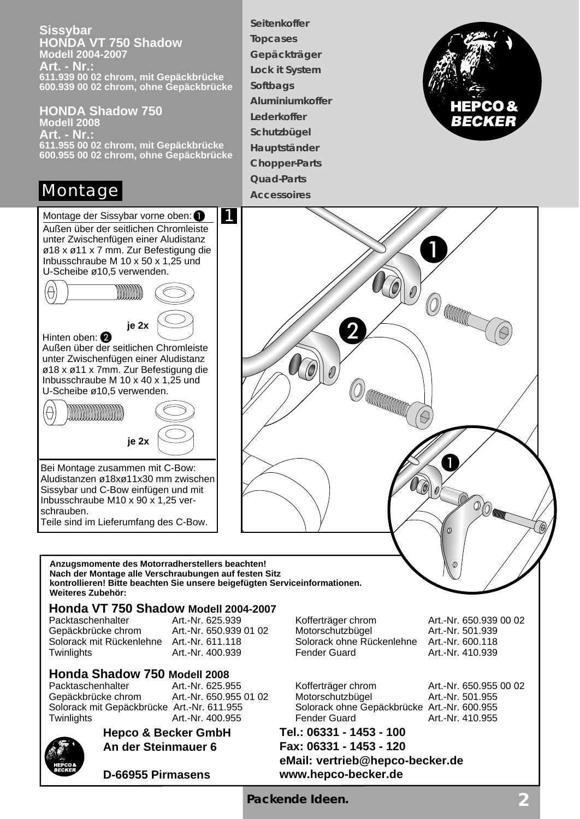**Sissybar HONDA VT 750 Shadow Modell 2004-2007 Art. - Nr.: 611.939 00 02 chrom, mit Gepäckbrücke 600.939 00 02 chrom, ohne Gepäckbrücke**

**HONDA Shadow 750 Modell 2008 Art. - Nr.: 611.955 00 02 chrom, mit Gepäckbrücke 600.955 00 02 chrom, ohne Gepäckbrücke**

## Montage



Bei Montage zusammen mit C-Bow: Aludistanzen ø18xø11x30 mm zwischen Sissybar und C-Bow einfügen und mit Inbusschraube M10 x 90 x 1,25 verschrauben. Teile sind im Lieferumfang des C-Bow.

**Gepäckträger Lock it System Softbags Aluminiumkoffer Lederkoffer Schutzbügel Hauptständer Chopper-Parts Quad-Parts Accessoires**

**Seitenkoffer Topcases**





# **Honda VT 750 Shadow Modell 2004-2007**

**Weiteres Zubehör:**

#### **Honda Shadow 750 Modell 2008**

Packtaschenhalter Art.-Nr. 625.955 Kofferträger chrom Art.-Nr. 650.955 00 02 Gepäckbrücke chrom Art.-Nr. 650.955 01 02 Motorschutzbügel Art.-Nr. 501.955 Solorack mit Gepäckbrücke Art.-Nr. 611.955 Solorack ohne Gepäckbrücke Art.-Nr. 600.955 Twinlights **Art.-Nr. 400.955** Fender Guard Art.-Nr. 410.955



**Hepco & Becker GmbH An der Steinmauer 6**

**D-66955 Pirmasens**

Art.-Nr. 625.939 <br>
Art.-Nr. 650.939 01 02 Motorschutzbügel Art.-Nr. 501.939 00 02<br>
Art.-Nr. 501.939 Gepäckbrücke chrom Art.-Nr. 650.939 01 02 Motorschutzbügel Art.-Nr. 501.939<br>Solorack mit Rückenlehne Art.-Nr. 611.118 Solorack ohne Rückenlehne Art.-Nr. 600.118 Solorack mit Rückenlehne Art.-Nr. 611.118 Solorack ohne Rückenlehne Art.-Nr. 600.118 Twinlights **Art.-Nr. 400.939** Fender Guard Art.-Nr. 410.939

#### **Tel.: 06331 - 1453 - 100 Fax: 06331 - 1453 - 120 eMail: vertrieb@hepco-becker.de www.hepco-becker.de**

**Packende Ideen. 2**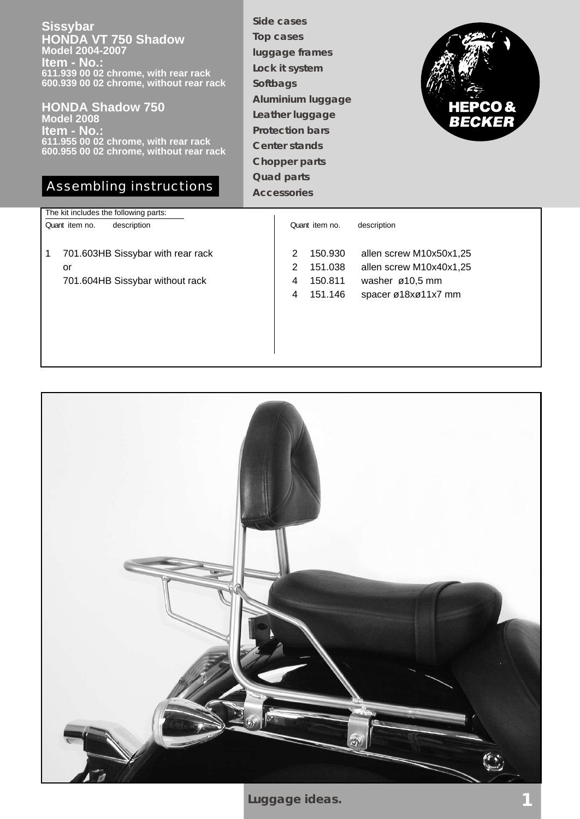**Sissybar HONDA VT 750 Shadow Model 2004-2007 Item - No.: 611.939 00 02 chrome, with rear rack 600.939 00 02 chrome, without rear rack**

#### **HONDA Shadow 750 Model 2008 Item - No.: 611.955 00 02 chrome, with rear rack 600.955 00 02 chrome, without rear rack**

### Assembling instructions

**Side cases Top cases luggage frames Lock it system Softbags Aluminium luggage Leather luggage Protection bars Center stands Chopper parts Quad parts Accessories**



| The kit includes the following parts: |                                              |  |  |
|---------------------------------------|----------------------------------------------|--|--|
| description<br>Quant item no.         | Quant item no.<br>description                |  |  |
|                                       |                                              |  |  |
| 701.603HB Sissybar with rear rack     | allen screw M10x50x1,25<br>150.930<br>2      |  |  |
| or                                    | allen screw M10x40x1,25<br>2<br>151.038      |  |  |
| 701.604HB Sissybar without rack       | 150.811<br>washer $\varnothing$ 10,5 mm<br>4 |  |  |
|                                       | spacer ø18xø11x7 mm<br>4<br>151.146          |  |  |
|                                       |                                              |  |  |
|                                       |                                              |  |  |
|                                       |                                              |  |  |
|                                       |                                              |  |  |